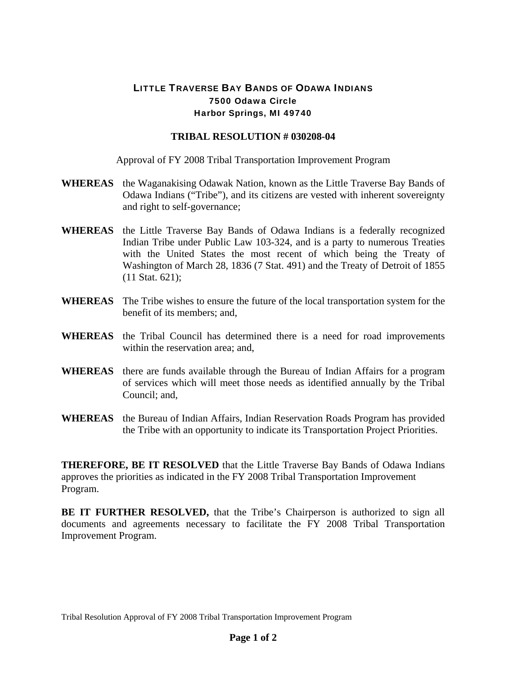## LITTLE TRAVERSE BAY BANDS OF ODAWA INDIANS 7500 Odawa Circle Harbor Springs, MI 49740

## **TRIBAL RESOLUTION # 030208-04**

Approval of FY 2008 Tribal Transportation Improvement Program

- **WHEREAS** the Waganakising Odawak Nation, known as the Little Traverse Bay Bands of Odawa Indians ("Tribe"), and its citizens are vested with inherent sovereignty and right to self-governance;
- **WHEREAS** the Little Traverse Bay Bands of Odawa Indians is a federally recognized Indian Tribe under Public Law 103-324, and is a party to numerous Treaties with the United States the most recent of which being the Treaty of Washington of March 28, 1836 (7 Stat. 491) and the Treaty of Detroit of 1855 (11 Stat. 621);
- **WHEREAS** The Tribe wishes to ensure the future of the local transportation system for the benefit of its members; and,
- **WHEREAS** the Tribal Council has determined there is a need for road improvements within the reservation area; and,
- **WHEREAS** there are funds available through the Bureau of Indian Affairs for a program of services which will meet those needs as identified annually by the Tribal Council; and,
- **WHEREAS** the Bureau of Indian Affairs, Indian Reservation Roads Program has provided the Tribe with an opportunity to indicate its Transportation Project Priorities.

**THEREFORE, BE IT RESOLVED** that the Little Traverse Bay Bands of Odawa Indians approves the priorities as indicated in the FY 2008 Tribal Transportation Improvement Program.

**BE IT FURTHER RESOLVED,** that the Tribe's Chairperson is authorized to sign all documents and agreements necessary to facilitate the FY 2008 Tribal Transportation Improvement Program.

Tribal Resolution Approval of FY 2008 Tribal Transportation Improvement Program